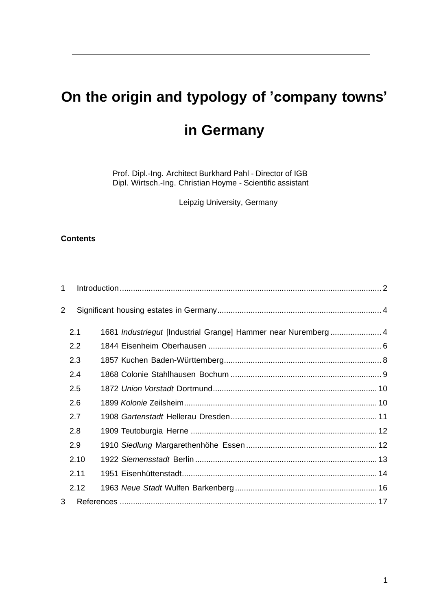# **On the origin and typology of 'company towns'**

# **in Germany**

Prof. Dipl.-Ing. Architect Burkhard Pahl - Director of IGB Dipl. Wirtsch.-Ing. Christian Hoyme - Scientific assistant

Leipzig University, Germany

#### **Contents**

| 1              |                  |                                                               |  |
|----------------|------------------|---------------------------------------------------------------|--|
| $\overline{2}$ |                  |                                                               |  |
|                | 2.1              | 1681 Industriegut [Industrial Grange] Hammer near Nuremberg 4 |  |
|                | $2.2\phantom{0}$ |                                                               |  |
|                | 2.3              |                                                               |  |
|                | 2.4              |                                                               |  |
|                | 2.5              |                                                               |  |
|                | 2.6              |                                                               |  |
|                | 2.7              |                                                               |  |
|                | 2.8              |                                                               |  |
|                | 2.9              |                                                               |  |
|                | 2.10             |                                                               |  |
|                | 2.11             |                                                               |  |
|                | 2.12             |                                                               |  |
| 3              |                  |                                                               |  |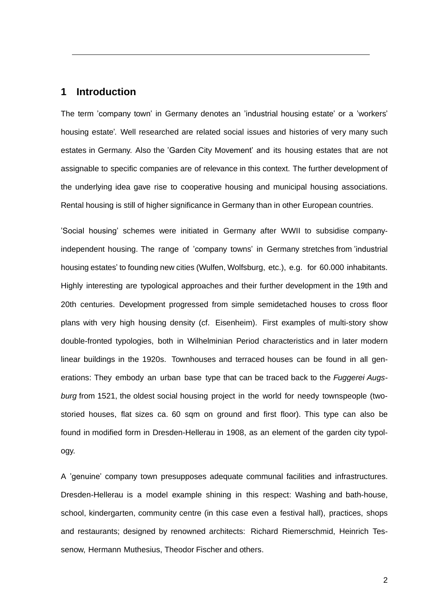## <span id="page-1-0"></span>**1 Introduction**

The term 'company town' in Germany denotes an 'industrial housing estate' or a 'workers' housing estate'. Well researched are related social issues and histories of very many such estates in Germany. Also the 'Garden City Movement' and its housing estates that are not assignable to specific companies are of relevance in this context. The further development of the underlying idea gave rise to cooperative housing and municipal housing associations. Rental housing is still of higher significance in Germany than in other European countries.

'Social housing' schemes were initiated in Germany after WWII to subsidise companyindependent housing. The range of 'company towns' in Germany stretches from 'industrial housing estates' to founding new cities (Wulfen, Wolfsburg, etc.), e.g. for 60.000 inhabitants. Highly interesting are typological approaches and their further development in the 19th and 20th centuries. Development progressed from simple semidetached houses to cross floor plans with very high housing density (cf. Eisenheim). First examples of multi-story show double-fronted typologies, both in Wilhelminian Period characteristics and in later modern linear buildings in the 1920s. Townhouses and terraced houses can be found in all generations: They embody an urban base type that can be traced back to the *Fuggerei Augsburg* from 1521, the oldest social housing project in the world for needy townspeople (twostoried houses, flat sizes ca. 60 sqm on ground and first floor). This type can also be found in modified form in Dresden-Hellerau in 1908, as an element of the garden city typology.

A 'genuine' company town presupposes adequate communal facilities and infrastructures. Dresden-Hellerau is a model example shining in this respect: Washing and bath-house, school, kindergarten, community centre (in this case even a festival hall), practices, shops and restaurants; designed by renowned architects: Richard Riemerschmid, Heinrich Tessenow, Hermann Muthesius, Theodor Fischer and others.

2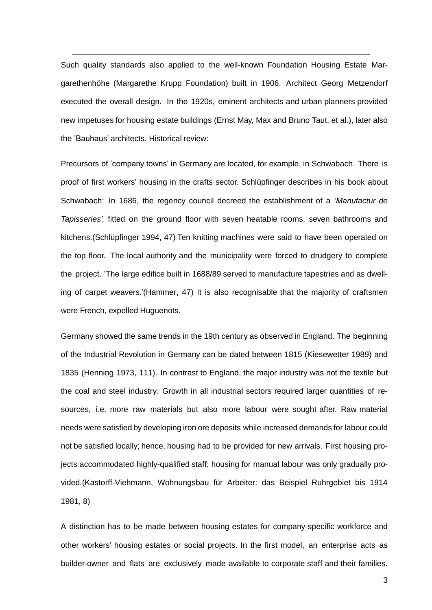Such quality standards also applied to the well-known Foundation Housing Estate Margarethenhöhe (Margarethe Krupp Foundation) built in 1906. Architect Georg Metzendorf executed the overall design. In the 1920s, eminent architects and urban planners provided new impetuses for housing estate buildings (Ernst May, Max and Bruno Taut, et al.), later also the 'Bauhaus' architects. Historical review:

Precursors of 'company towns' in Germany are located, for example, in Schwabach. There is proof of first workers' housing in the crafts sector. Schlüpfinger describes in his book about Schwabach: In 1686, the regency council decreed the establishment of a *'Manufactur de Tapisseries'*, fitted on the ground floor with seven heatable rooms, seven bathrooms and kitchens.(Schlüpfinger 1994, 47) Ten knitting machines were said to have been operated on the top floor. The local authority and the municipality were forced to drudgery to complete the project. 'The large edifice built in 1688/89 served to manufacture tapestries and as dwelling of carpet weavers.'(Hammer, 47) It is also recognisable that the majority of craftsmen were French, expelled Huguenots.

Germany showed the same trends in the 19th century as observed in England. The beginning of the Industrial Revolution in Germany can be dated between 1815 (Kiesewetter 1989) and 1835 (Henning 1973, 111). In contrast to England, the major industry was not the textile but the coal and steel industry. Growth in all industrial sectors required larger quantities of resources, i.e. more raw materials but also more labour were sought after. Raw material needs were satisfied by developing iron ore deposits while increased demands for labour could not be satisfied locally; hence, housing had to be provided for new arrivals. First housing projects accommodated highly-qualified staff; housing for manual labour was only gradually provided.(Kastorff-Viehmann, Wohnungsbau für Arbeiter: das Beispiel Ruhrgebiet bis 1914 1981, 8)

A distinction has to be made between housing estates for company-specific workforce and other workers' housing estates or social projects. In the first model, an enterprise acts as builder-owner and flats are exclusively made available to corporate staff and their families.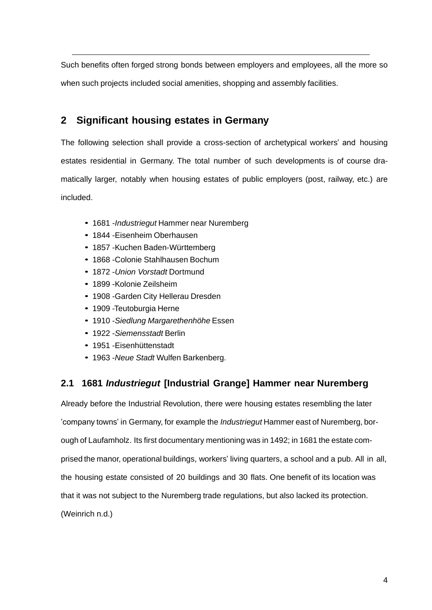Such benefits often forged strong bonds between employers and employees, all the more so when such projects included social amenities, shopping and assembly facilities.

## <span id="page-3-0"></span>**2 Significant housing estates in Germany**

The following selection shall provide a cross-section of archetypical workers' and housing estates residential in Germany. The total number of such developments is of course dramatically larger, notably when housing estates of public employers (post, railway, etc.) are included.

- *•* 1681 -*Industriegut* Hammer near Nuremberg
- *•* 1844 -Eisenheim Oberhausen
- *•* 1857 -Kuchen Baden-Württemberg
- *•* 1868 -Colonie Stahlhausen Bochum
- *•* 1872 -*Union Vorstadt* Dortmund
- *•* 1899 -Kolonie Zeilsheim
- *•* 1908 -Garden City Hellerau Dresden
- *•* 1909 -Teutoburgia Herne
- *•* 1910 -*Siedlung Margarethenhöhe* Essen
- *•* 1922 -*Siemensstadt* Berlin
- *•* 1951 -Eisenhüttenstadt
- *•* 1963 -*Neue Stadt* Wulfen Barkenberg.

## <span id="page-3-1"></span>**2.1 1681** *Industriegut* **[Industrial Grange] Hammer near Nuremberg**

Already before the Industrial Revolution, there were housing estates resembling the later 'company towns' in Germany, for example the *Industriegut* Hammer east of Nuremberg, borough of Laufamholz. Its first documentary mentioning was in 1492; in 1681 the estate comprised the manor, operational buildings, workers' living quarters, a school and a pub. All in all, the housing estate consisted of 20 buildings and 30 flats. One benefit of its location was that it was not subject to the Nuremberg trade regulations, but also lacked its protection. (Weinrich n.d.)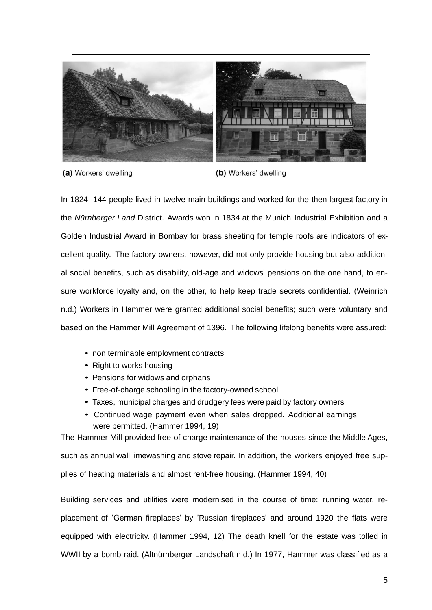

(a) Workers' dwelling

(b) Workers' dwelling

In 1824, 144 people lived in twelve main buildings and worked for the then largest factory in the *Nürnberger Land* District. Awards won in 1834 at the Munich Industrial Exhibition and a Golden Industrial Award in Bombay for brass sheeting for temple roofs are indicators of excellent quality. The factory owners, however, did not only provide housing but also additional social benefits, such as disability, old-age and widows' pensions on the one hand, to ensure workforce loyalty and, on the other, to help keep trade secrets confidential. (Weinrich n.d.) Workers in Hammer were granted additional social benefits; such were voluntary and based on the Hammer Mill Agreement of 1396. The following lifelong benefits were assured:

- *•* non terminable employment contracts
- *•* Right to works housing
- *•* Pensions for widows and orphans
- *•* Free-of-charge schooling in the factory-owned school
- *•* Taxes, municipal charges and drudgery fees were paid by factory owners
- *•* Continued wage payment even when sales dropped. Additional earnings were permitted. (Hammer 1994, 19)

The Hammer Mill provided free-of-charge maintenance of the houses since the Middle Ages, such as annual wall limewashing and stove repair. In addition, the workers enjoyed free supplies of heating materials and almost rent-free housing. (Hammer 1994, 40)

Building services and utilities were modernised in the course of time: running water, replacement of 'German fireplaces' by 'Russian fireplaces' and around 1920 the flats were equipped with electricity. (Hammer 1994, 12) The death knell for the estate was tolled in WWII by a bomb raid. (Altnürnberger Landschaft n.d.) In 1977, Hammer was classified as a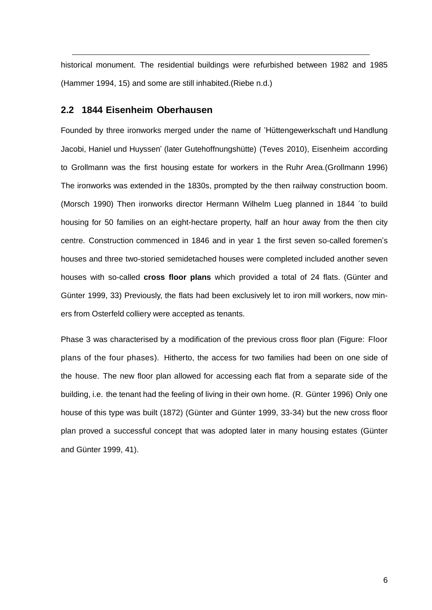historical monument. The residential buildings were refurbished between 1982 and 1985 (Hammer 1994, 15) and some are still inhabited.(Riebe n.d.)

### <span id="page-5-0"></span>**2.2 1844 Eisenheim Oberhausen**

Founded by three ironworks merged under the name of 'Hüttengewerkschaft und Handlung Jacobi, Haniel und Huyssen' (later Gutehoffnungshütte) (Teves 2010), Eisenheim according to Grollmann was the first housing estate for workers in the Ruhr Area.(Grollmann 1996) The ironworks was extended in the 1830s, prompted by the then railway construction boom. (Morsch 1990) Then ironworks director Hermann Wilhelm Lueg planned in 1844 ´to build housing for 50 families on an eight-hectare property, half an hour away from the then city centre. Construction commenced in 1846 and in year 1 the first seven so-called foremen's houses and three two-storied semidetached houses were completed included another seven houses with so-called **cross floor plans** which provided a total of 24 flats. (Günter and Günter 1999, 33) Previously, the flats had been exclusively let to iron mill workers, now miners from Osterfeld colliery were accepted as tenants.

Phase 3 was characterised by a modification of the previous cross floor plan (Figure: Floor plans of the four phases). Hitherto, the access for two families had been on one side of the house. The new floor plan allowed for accessing each flat from a separate side of the building, i.e. the tenant had the feeling of living in their own home. (R. Günter 1996) Only one house of this type was built (1872) (Günter and Günter 1999, 33-34) but the new cross floor plan proved a successful concept that was adopted later in many housing estates (Günter and Günter 1999, 41).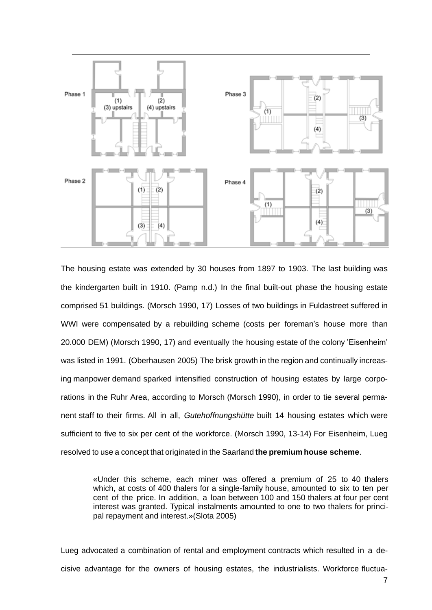

The housing estate was extended by 30 houses from 1897 to 1903. The last building was the kindergarten built in 1910. (Pamp n.d.) In the final built-out phase the housing estate comprised 51 buildings. (Morsch 1990, 17) Losses of two buildings in Fuldastreet suffered in WWI were compensated by a rebuilding scheme (costs per foreman's house more than 20.000 DEM) (Morsch 1990, 17) and eventually the housing estate of the colony 'Eisenheim' was listed in 1991. (Oberhausen 2005) The brisk growth in the region and continually increasing manpower demand sparked intensified construction of housing estates by large corporations in the Ruhr Area, according to Morsch (Morsch 1990), in order to tie several permanent staff to their firms. All in all, *Gutehoffnungshütte* built 14 housing estates which were sufficient to five to six per cent of the workforce. (Morsch 1990, 13-14) For Eisenheim, Lueg resolved to use a concept that originated in the Saarland **the premium house scheme**.

«Under this scheme, each miner was offered a premium of 25 to 40 thalers which, at costs of 400 thalers for a single-family house, amounted to six to ten per cent of the price. In addition, a loan between 100 and 150 thalers at four per cent interest was granted. Typical instalments amounted to one to two thalers for principal repayment and interest.»(Slota 2005)

Lueg advocated a combination of rental and employment contracts which resulted in a decisive advantage for the owners of housing estates, the industrialists. Workforce fluctua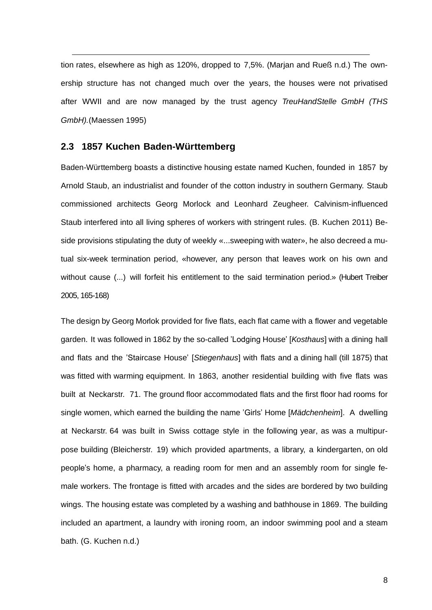tion rates, elsewhere as high as 120%, dropped to 7,5%. (Marjan and Rueß n.d.) The ownership structure has not changed much over the years, the houses were not privatised after WWII and are now managed by the trust agency *TreuHandStelle GmbH (THS GmbH).*(Maessen 1995)

#### <span id="page-7-0"></span>**2.3 1857 Kuchen Baden-Württemberg**

Baden-Württemberg boasts a distinctive housing estate named Kuchen, founded in 1857 by Arnold Staub, an industrialist and founder of the cotton industry in southern Germany. Staub commissioned architects Georg Morlock and Leonhard Zeugheer. Calvinism-influenced Staub interfered into all living spheres of workers with stringent rules. (B. Kuchen 2011) Beside provisions stipulating the duty of weekly «...sweeping with water», he also decreed a mutual six-week termination period, «however, any person that leaves work on his own and without cause (...) will forfeit his entitlement to the said termination period.» (Hubert Treiber 2005, 165-168)

The design by Georg Morlok provided for five flats, each flat came with a flower and vegetable garden. It was followed in 1862 by the so-called 'Lodging House' [*Kosthaus*] with a dining hall and flats and the 'Staircase House' [*Stiegenhaus*] with flats and a dining hall (till 1875) that was fitted with warming equipment. In 1863, another residential building with five flats was built at Neckarstr. 71. The ground floor accommodated flats and the first floor had rooms for single women, which earned the building the name 'Girls' Home [*Mädchenheim*]. A dwelling at Neckarstr. 64 was built in Swiss cottage style in the following year, as was a multipurpose building (Bleicherstr. 19) which provided apartments, a library, a kindergarten, on old people's home, a pharmacy, a reading room for men and an assembly room for single female workers. The frontage is fitted with arcades and the sides are bordered by two building wings. The housing estate was completed by a washing and bathhouse in 1869. The building included an apartment, a laundry with ironing room, an indoor swimming pool and a steam bath. (G. Kuchen n.d.)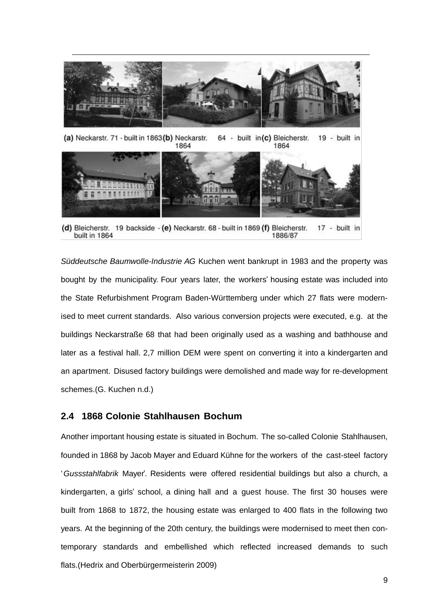

(a) Neckarstr. 71 - built in 1863(b) Neckarstr. 64 - built in(c) Bleicherstr. 19 - built in 1864 1864



(d) Bleicherstr. 19 backside - (e) Neckarstr. 68 - built in 1869 (f) Bleicherstr. 17 - built in built in 1864 1886/87

*Süddeutsche Baumwolle-Industrie AG* Kuchen went bankrupt in 1983 and the property was bought by the municipality. Four years later, the workers' housing estate was included into the State Refurbishment Program Baden-Württemberg under which 27 flats were modernised to meet current standards. Also various conversion projects were executed, e.g. at the buildings Neckarstraße 68 that had been originally used as a washing and bathhouse and later as a festival hall. 2,7 million DEM were spent on converting it into a kindergarten and an apartment. Disused factory buildings were demolished and made way for re-development schemes.(G. Kuchen n.d.)

## <span id="page-8-0"></span>**2.4 1868 Colonie Stahlhausen Bochum**

Another important housing estate is situated in Bochum. The so-called Colonie Stahlhausen, founded in 1868 by Jacob Mayer and Eduard Kühne for the workers of the cast-steel factory '*Gussstahlfabrik* Mayer'. Residents were offered residential buildings but also a church, a kindergarten, a girls' school, a dining hall and a guest house. The first 30 houses were built from 1868 to 1872, the housing estate was enlarged to 400 flats in the following two years. At the beginning of the 20th century, the buildings were modernised to meet then contemporary standards and embellished which reflected increased demands to such flats.(Hedrix and Oberbürgermeisterin 2009)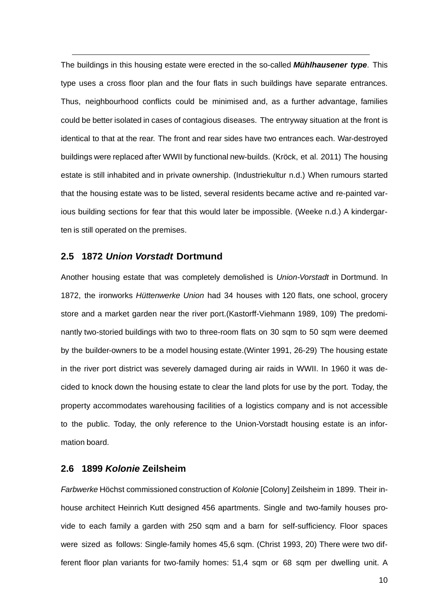The buildings in this housing estate were erected in the so-called *Mühlhausener type*. This type uses a cross floor plan and the four flats in such buildings have separate entrances. Thus, neighbourhood conflicts could be minimised and, as a further advantage, families could be better isolated in cases of contagious diseases. The entryway situation at the front is identical to that at the rear. The front and rear sides have two entrances each. War-destroyed buildings were replaced after WWII by functional new-builds. (Kröck, et al. 2011) The housing estate is still inhabited and in private ownership. (Industriekultur n.d.) When rumours started that the housing estate was to be listed, several residents became active and re-painted various building sections for fear that this would later be impossible. (Weeke n.d.) A kindergarten is still operated on the premises.

#### <span id="page-9-0"></span>**2.5 1872** *Union Vorstadt* **Dortmund**

Another housing estate that was completely demolished is *Union-Vorstadt* in Dortmund. In 1872, the ironworks *Hüttenwerke Union* had 34 houses with 120 flats, one school, grocery store and a market garden near the river port.(Kastorff-Viehmann 1989, 109) The predominantly two-storied buildings with two to three-room flats on 30 sqm to 50 sqm were deemed by the builder-owners to be a model housing estate.(Winter 1991, 26-29) The housing estate in the river port district was severely damaged during air raids in WWII. In 1960 it was decided to knock down the housing estate to clear the land plots for use by the port. Today, the property accommodates warehousing facilities of a logistics company and is not accessible to the public. Today, the only reference to the Union-Vorstadt housing estate is an information board.

#### <span id="page-9-1"></span>**2.6 1899** *Kolonie* **Zeilsheim**

*Farbwerke* Höchst commissioned construction of *Kolonie* [Colony] Zeilsheim in 1899. Their inhouse architect Heinrich Kutt designed 456 apartments. Single and two-family houses provide to each family a garden with 250 sqm and a barn for self-sufficiency. Floor spaces were sized as follows: Single-family homes 45,6 sqm. (Christ 1993, 20) There were two different floor plan variants for two-family homes: 51,4 sqm or 68 sqm per dwelling unit. A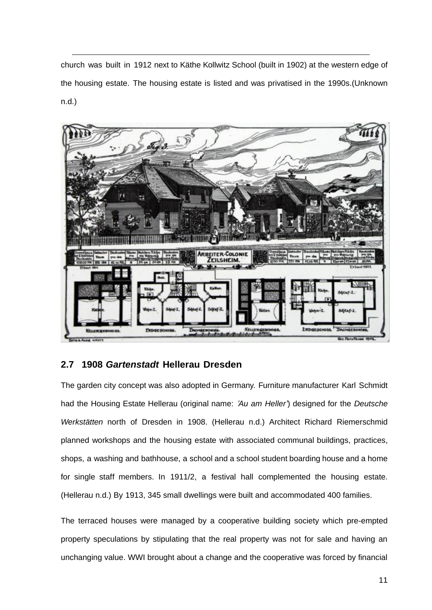church was built in 1912 next to Käthe Kollwitz School (built in 1902) at the western edge of the housing estate. The housing estate is listed and was privatised in the 1990s.(Unknown n.d.)



## <span id="page-10-0"></span>**2.7 1908** *Gartenstadt* **Hellerau Dresden**

The garden city concept was also adopted in Germany. Furniture manufacturer Karl Schmidt had the Housing Estate Hellerau (original name: *'Au am Heller'*) designed for the *Deutsche Werkstätten* north of Dresden in 1908. (Hellerau n.d.) Architect Richard Riemerschmid planned workshops and the housing estate with associated communal buildings, practices, shops, a washing and bathhouse, a school and a school student boarding house and a home for single staff members. In 1911/2, a festival hall complemented the housing estate. (Hellerau n.d.) By 1913, 345 small dwellings were built and accommodated 400 families.

The terraced houses were managed by a cooperative building society which pre-empted property speculations by stipulating that the real property was not for sale and having an unchanging value. WWI brought about a change and the cooperative was forced by financial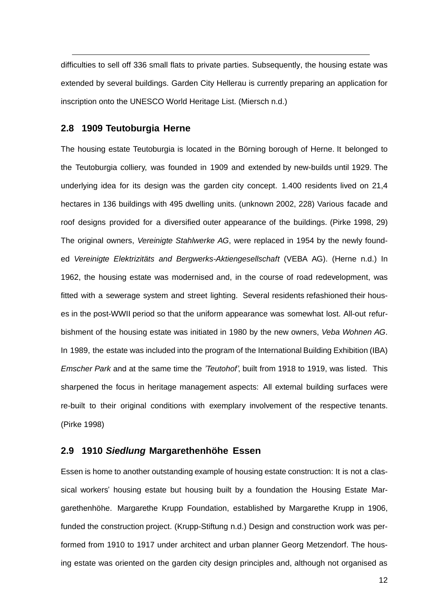difficulties to sell off 336 small flats to private parties. Subsequently, the housing estate was extended by several buildings. Garden City Hellerau is currently preparing an application for inscription onto the UNESCO World Heritage List. (Miersch n.d.)

### <span id="page-11-0"></span>**2.8 1909 Teutoburgia Herne**

The housing estate Teutoburgia is located in the Börning borough of Herne. It belonged to the Teutoburgia colliery, was founded in 1909 and extended by new-builds until 1929. The underlying idea for its design was the garden city concept. 1.400 residents lived on 21,4 hectares in 136 buildings with 495 dwelling units. (unknown 2002, 228) Various facade and roof designs provided for a diversified outer appearance of the buildings. (Pirke 1998, 29) The original owners, *Vereinigte Stahlwerke AG*, were replaced in 1954 by the newly founded *Vereinigte Elektrizitäts and Bergwerks-Aktiengesellschaft* (VEBA AG). (Herne n.d.) In 1962, the housing estate was modernised and, in the course of road redevelopment, was fitted with a sewerage system and street lighting. Several residents refashioned their houses in the post-WWII period so that the uniform appearance was somewhat lost. All-out refurbishment of the housing estate was initiated in 1980 by the new owners, *Veba Wohnen AG*. In 1989, the estate was included into the program of the International Building Exhibition (IBA) *Emscher Park* and at the same time the *'Teutohof'*, built from 1918 to 1919, was listed. This sharpened the focus in heritage management aspects: All external building surfaces were re-built to their original conditions with exemplary involvement of the respective tenants. (Pirke 1998)

#### <span id="page-11-1"></span>**2.9 1910** *Siedlung* **Margarethenhöhe Essen**

Essen is home to another outstanding example of housing estate construction: It is not a classical workers' housing estate but housing built by a foundation the Housing Estate Margarethenhöhe. Margarethe Krupp Foundation, established by Margarethe Krupp in 1906, funded the construction project. (Krupp-Stiftung n.d.) Design and construction work was performed from 1910 to 1917 under architect and urban planner Georg Metzendorf. The housing estate was oriented on the garden city design principles and, although not organised as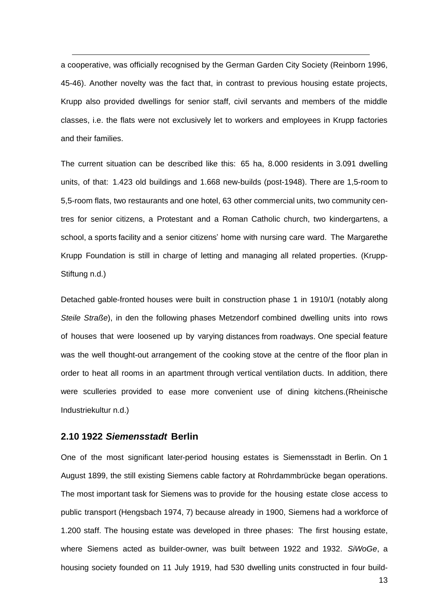a cooperative, was officially recognised by the German Garden City Society (Reinborn 1996, 45-46). Another novelty was the fact that, in contrast to previous housing estate projects, Krupp also provided dwellings for senior staff, civil servants and members of the middle classes, i.e. the flats were not exclusively let to workers and employees in Krupp factories and their families.

The current situation can be described like this: 65 ha, 8.000 residents in 3.091 dwelling units, of that: 1.423 old buildings and 1.668 new-builds (post-1948). There are 1,5-room to 5,5-room flats, two restaurants and one hotel, 63 other commercial units, two community centres for senior citizens, a Protestant and a Roman Catholic church, two kindergartens, a school, a sports facility and a senior citizens' home with nursing care ward. The Margarethe Krupp Foundation is still in charge of letting and managing all related properties. (Krupp-Stiftung n.d.)

Detached gable-fronted houses were built in construction phase 1 in 1910/1 (notably along *Steile Straße*), in den the following phases Metzendorf combined dwelling units into rows of houses that were loosened up by varying distances from roadways. One special feature was the well thought-out arrangement of the cooking stove at the centre of the floor plan in order to heat all rooms in an apartment through vertical ventilation ducts. In addition, there were sculleries provided to ease more convenient use of dining kitchens.(Rheinische Industriekultur n.d.)

#### <span id="page-12-0"></span>**2.10 1922** *Siemensstadt* **Berlin**

One of the most significant later-period housing estates is Siemensstadt in Berlin. On 1 August 1899, the still existing Siemens cable factory at Rohrdammbrücke began operations. The most important task for Siemens was to provide for the housing estate close access to public transport (Hengsbach 1974, 7) because already in 1900, Siemens had a workforce of 1.200 staff. The housing estate was developed in three phases: The first housing estate, where Siemens acted as builder-owner, was built between 1922 and 1932. *SiWoGe*, a housing society founded on 11 July 1919, had 530 dwelling units constructed in four build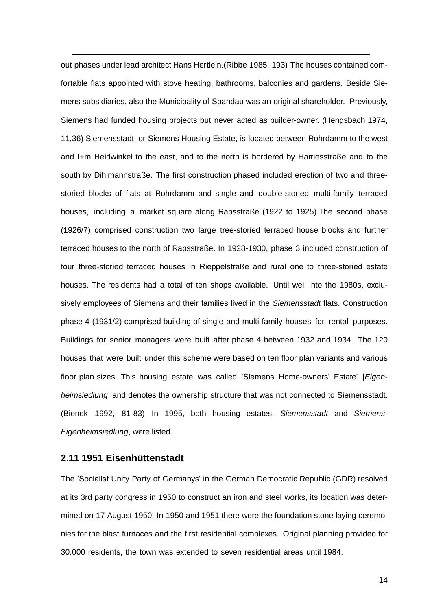out phases under lead architect Hans Hertlein.(Ribbe 1985, 193) The houses contained comfortable flats appointed with stove heating, bathrooms, balconies and gardens. Beside Siemens subsidiaries, also the Municipality of Spandau was an original shareholder. Previously, Siemens had funded housing projects but never acted as builder-owner. (Hengsbach 1974, 11,36) Siemensstadt, or Siemens Housing Estate, is located between Rohrdamm to the west and I+m Heidwinkel to the east, and to the north is bordered by Harriesstraße and to the south by Dihlmannstraße. The first construction phased included erection of two and threestoried blocks of flats at Rohrdamm and single and double-storied multi-family terraced houses, including a market square along Rapsstraße (1922 to 1925).The second phase (1926/7) comprised construction two large tree-storied terraced house blocks and further terraced houses to the north of Rapsstraße. In 1928-1930, phase 3 included construction of four three-storied terraced houses in Rieppelstraße and rural one to three-storied estate houses. The residents had a total of ten shops available. Until well into the 1980s, exclusively employees of Siemens and their families lived in the *Siemensstadt* flats. Construction phase 4 (1931/2) comprised building of single and multi-family houses for rental purposes. Buildings for senior managers were built after phase 4 between 1932 and 1934. The 120 houses that were built under this scheme were based on ten floor plan variants and various floor plan sizes. This housing estate was called 'Siemens Home-owners' Estate' [*Eigenheimsiedlung*] and denotes the ownership structure that was not connected to Siemensstadt. (Bienek 1992, 81-83) In 1995, both housing estates, *Siemensstadt* and *Siemens*-*Eigenheimsiedlung*, were listed.

#### <span id="page-13-0"></span>**2.11 1951 Eisenhüttenstadt**

The 'Socialist Unity Party of Germanys' in the German Democratic Republic (GDR) resolved at its 3rd party congress in 1950 to construct an iron and steel works, its location was determined on 17 August 1950. In 1950 and 1951 there were the foundation stone laying ceremonies for the blast furnaces and the first residential complexes. Original planning provided for 30.000 residents, the town was extended to seven residential areas until 1984.

14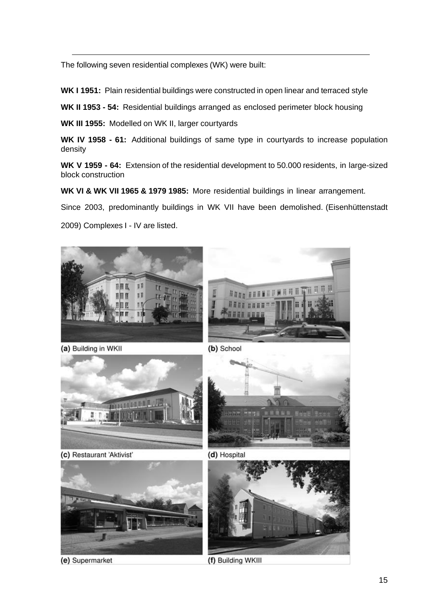The following seven residential complexes (WK) were built:

**WK I 1951:** Plain residential buildings were constructed in open linear and terraced style

**WK II 1953 - 54:** Residential buildings arranged as enclosed perimeter block housing

**WK III 1955:** Modelled on WK II, larger courtyards

**WK IV 1958 - 61:** Additional buildings of same type in courtyards to increase population density

**WK V 1959 - 64:** Extension of the residential development to 50.000 residents, in large-sized block construction

**WK VI & WK VII 1965 & 1979 1985:** More residential buildings in linear arrangement.

Since 2003, predominantly buildings in WK VII have been demolished. (Eisenhüttenstadt

2009) Complexes I - IV are listed.



(a) Building in WKII

(b) School



(c) Restaurant 'Aktivist'



(e) Supermarket



(d) Hospital



(f) Building WKIII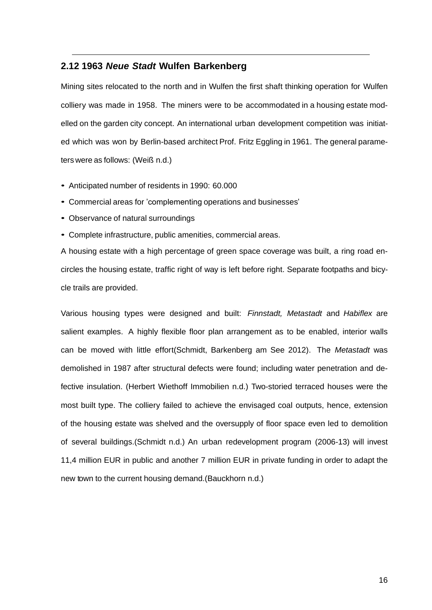#### <span id="page-15-0"></span>**2.12 1963** *Neue Stadt* **Wulfen Barkenberg**

Mining sites relocated to the north and in Wulfen the first shaft thinking operation for Wulfen colliery was made in 1958. The miners were to be accommodated in a housing estate modelled on the garden city concept. An international urban development competition was initiated which was won by Berlin-based architect Prof. Fritz Eggling in 1961. The general parameters were as follows: (Weiß n.d.)

- *•* Anticipated number of residents in 1990: 60.000
- *•* Commercial areas for 'complementing operations and businesses'
- *•* Observance of natural surroundings
- *•* Complete infrastructure, public amenities, commercial areas.

A housing estate with a high percentage of green space coverage was built, a ring road encircles the housing estate, traffic right of way is left before right. Separate footpaths and bicycle trails are provided.

Various housing types were designed and built: *Finnstadt, Metastadt* and *Habiflex* are salient examples. A highly flexible floor plan arrangement as to be enabled, interior walls can be moved with little effort(Schmidt, Barkenberg am See 2012). The *Metastadt* was demolished in 1987 after structural defects were found; including water penetration and defective insulation. (Herbert Wiethoff Immobilien n.d.) Two-storied terraced houses were the most built type. The colliery failed to achieve the envisaged coal outputs, hence, extension of the housing estate was shelved and the oversupply of floor space even led to demolition of several buildings.(Schmidt n.d.) An urban redevelopment program (2006-13) will invest 11,4 million EUR in public and another 7 million EUR in private funding in order to adapt the new town to the current housing demand.(Bauckhorn n.d.)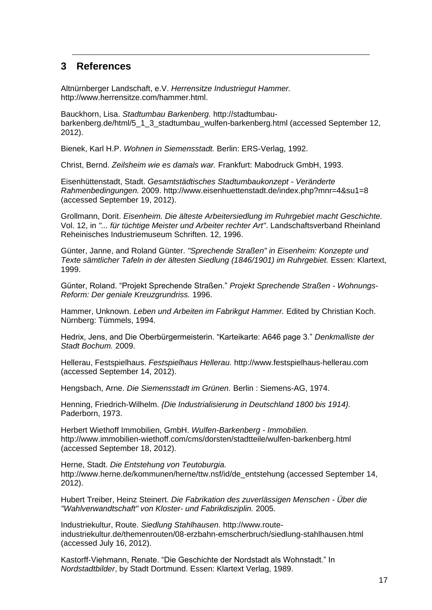## <span id="page-16-0"></span>**3 References**

Altnürnberger Landschaft, e.V. *Herrensitze Industriegut Hammer.* http://www.herrensitze.com/hammer.html.

Bauckhorn, Lisa. *Stadtumbau Barkenberg.* http://stadtumbaubarkenberg.de/html/5\_1\_3\_stadtumbau\_wulfen-barkenberg.html (accessed September 12, 2012).

Bienek, Karl H.P. *Wohnen in Siemensstadt.* Berlin: ERS-Verlag, 1992.

Christ, Bernd. *Zeilsheim wie es damals war.* Frankfurt: Mabodruck GmbH, 1993.

Eisenhüttenstadt, Stadt. *Gesamtstädtisches Stadtumbaukonzept - Veränderte Rahmenbedingungen.* 2009. http://www.eisenhuettenstadt.de/index.php?mnr=4&su1=8 (accessed September 19, 2012).

Grollmann, Dorit. *Eisenheim. Die älteste Arbeitersiedlung im Ruhrgebiet macht Geschichte.* Vol. 12, in *"... für tüchtige Meister und Arbeiter rechter Art"*. Landschaftsverband Rheinland Reheinisches Industriemuseum Schriften. 12, 1996.

Günter, Janne, and Roland Günter. *"Sprechende Straßen" in Eisenheim: Konzepte und Texte sämtlicher Tafeln in der ältesten Siedlung (1846/1901) im Ruhrgebiet.* Essen: Klartext, 1999.

Günter, Roland. "Projekt Sprechende Straßen." *Projekt Sprechende Straßen - Wohnungs-Reform: Der geniale Kreuzgrundriss.* 1996.

Hammer, Unknown. *Leben und Arbeiten im Fabrikgut Hammer.* Edited by Christian Koch. Nürnberg: Tümmels, 1994.

Hedrix, Jens, and Die Oberbürgermeisterin. "Karteikarte: A646 page 3." *Denkmalliste der Stadt Bochum.* 2009.

Hellerau, Festspielhaus. *Festspielhaus Hellerau.* http://www.festspielhaus-hellerau.com (accessed September 14, 2012).

Hengsbach, Arne. *Die Siemensstadt im Grünen.* Berlin : Siemens-AG, 1974.

Henning, Friedrich-Wilhelm. *{Die Industrialisierung in Deutschland 1800 bis 1914}.* Paderborn, 1973.

Herbert Wiethoff Immobilien, GmbH. *Wulfen-Barkenberg - Immobilien.* http://www.immobilien-wiethoff.com/cms/dorsten/stadtteile/wulfen-barkenberg.html (accessed September 18, 2012).

Herne, Stadt. *Die Entstehung von Teutoburgia.* http://www.herne.de/kommunen/herne/ttw.nsf/id/de\_entstehung (accessed September 14, 2012).

Hubert Treiber, Heinz Steinert. *Die Fabrikation des zuverlässigen Menschen - Über die "Wahlverwandtschaft" von Kloster- und Fabrikdisziplin.* 2005.

Industriekultur, Route. *Siedlung Stahlhausen.* http://www.routeindustriekultur.de/themenrouten/08-erzbahn-emscherbruch/siedlung-stahlhausen.html (accessed July 16, 2012).

Kastorff-Viehmann, Renate. "Die Geschichte der Nordstadt als Wohnstadt." In *Nordstadtbilder*, by Stadt Dortmund. Essen: Klartext Verlag, 1989.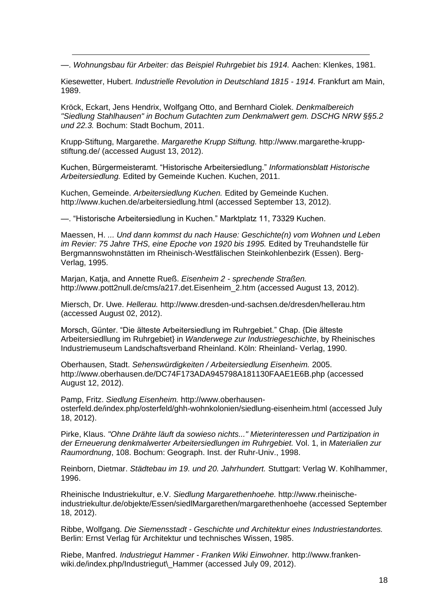—. *Wohnungsbau für Arbeiter: das Beispiel Ruhrgebiet bis 1914.* Aachen: Klenkes, 1981.

Kiesewetter, Hubert. *Industrielle Revolution in Deutschland 1815 - 1914.* Frankfurt am Main, 1989.

Kröck, Eckart, Jens Hendrix, Wolfgang Otto, and Bernhard Ciolek. *Denkmalbereich "Siedlung Stahlhausen" in Bochum Gutachten zum Denkmalwert gem. DSCHG NRW §§5.2 und 22.3.* Bochum: Stadt Bochum, 2011.

Krupp-Stiftung, Margarethe. *Margarethe Krupp Stiftung.* http://www.margarethe-kruppstiftung.de/ (accessed August 13, 2012).

Kuchen, Bürgermeisteramt. "Historische Arbeitersiedlung." *Informationsblatt Historische Arbeitersiedlung.* Edited by Gemeinde Kuchen. Kuchen, 2011.

Kuchen, Gemeinde. *Arbeitersiedlung Kuchen.* Edited by Gemeinde Kuchen. http://www.kuchen.de/arbeitersiedlung.html (accessed September 13, 2012).

—. "Historische Arbeitersiedlung in Kuchen." Marktplatz 11, 73329 Kuchen.

Maessen, H. *... Und dann kommst du nach Hause: Geschichte(n) vom Wohnen und Leben im Revier: 75 Jahre THS, eine Epoche von 1920 bis 1995.* Edited by Treuhandstelle für Bergmannswohnstätten im Rheinisch-Westfälischen Steinkohlenbezirk (Essen). Berg-Verlag, 1995.

Marjan, Katja, and Annette Rueß. *Eisenheim 2 - sprechende Straßen.* http://www.pott2null.de/cms/a217.det.Eisenheim\_2.htm (accessed August 13, 2012).

Miersch, Dr. Uwe. *Hellerau.* http://www.dresden-und-sachsen.de/dresden/hellerau.htm (accessed August 02, 2012).

Morsch, Günter. "Die älteste Arbeitersiedlung im Ruhrgebiet." Chap. {Die älteste Arbeitersiedllung im Ruhrgebiet} in *Wanderwege zur Industriegeschichte*, by Rheinisches Industriemuseum Landschaftsverband Rheinland. Köln: Rheinland- Verlag, 1990.

Oberhausen, Stadt. *Sehenswürdigkeiten / Arbeitersiedlung Eisenheim.* 2005. http://www.oberhausen.de/DC74F173ADA945798A181130FAAE1E6B.php (accessed August 12, 2012).

Pamp, Fritz. *Siedlung Eisenheim.* http://www.oberhausenosterfeld.de/index.php/osterfeld/ghh-wohnkolonien/siedlung-eisenheim.html (accessed July 18, 2012).

Pirke, Klaus. *"Ohne Drähte läuft da sowieso nichts..." Mieterinteressen und Partizipation in der Erneuerung denkmalwerter Arbeitersiedlungen im Ruhrgebiet.* Vol. 1, in *Materialien zur Raumordnung*, 108. Bochum: Geograph. Inst. der Ruhr-Univ., 1998.

Reinborn, Dietmar. *Städtebau im 19. und 20. Jahrhundert.* Stuttgart: Verlag W. Kohlhammer, 1996.

Rheinische Industriekultur, e.V. *Siedlung Margarethenhoehe.* http://www.rheinischeindustriekultur.de/objekte/Essen/siedlMargarethen/margarethenhoehe (accessed September 18, 2012).

Ribbe, Wolfgang. *Die Siemensstadt - Geschichte und Architektur eines Industriestandortes.* Berlin: Ernst Verlag für Architektur und technisches Wissen, 1985.

Riebe, Manfred. *Industriegut Hammer - Franken Wiki Einwohner.* http://www.frankenwiki.de/index.php/Industriegut\ Hammer (accessed July 09, 2012).